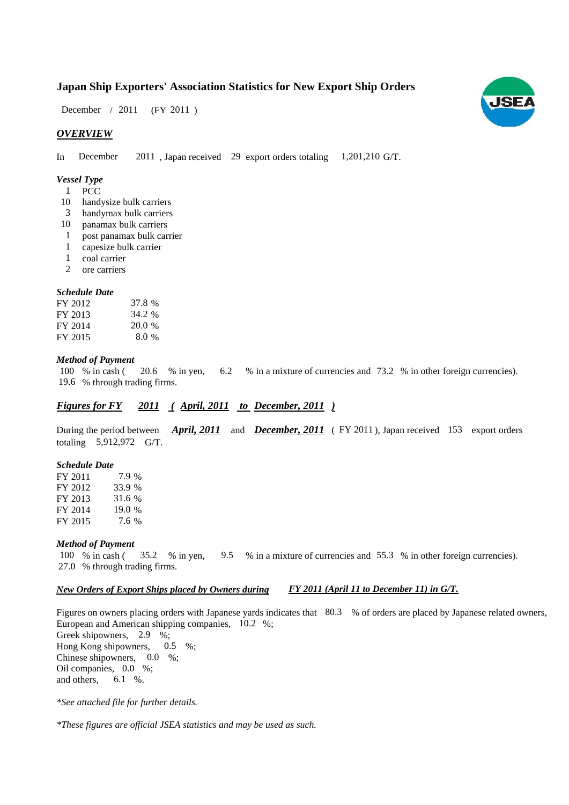### **Japan Ship Exporters' Association Statistics for New Export Ship Orders**

 $(FY 2011)$ December / 2011

#### *OVERVIEW*

In December 2011, Japan received 29 export orders totaling 1,201,210 G/T.

#### *Vessel Type*

- PCC 1
- handysize bulk carriers 10
- handymax bulk carriers 3
- panamax bulk carriers 10
- post panamax bulk carrier 1
- capesize bulk carrier 1
- coal carrier 1
- ore carriers 2

#### *Schedule Date*

| FY 2012 | 37.8 %  |
|---------|---------|
| FY 2013 | 34.2 %  |
| FY 2014 | 20.0%   |
| FY 2015 | $8.0\%$ |

#### *Method of Payment*

% in cash ( $\frac{20.6}{8}$  in yen,  $\frac{6.2}{8}$  in a mixture of currencies and 73.2 % in other foreign currencies). % through trading firms. 19.6 20.6 % in yen, 6.2 100 % in cash (

#### *Figures for FY* 2011 (*April, 2011 to December, 2011* )

During the period between *April, 2011* and *December, 2011* (FY 2011), Japan received 153 export orders totaling 5,912,972 G/T.

#### *Schedule Date*

FY 2011 FY 2012 FY 2013 FY 2014 FY 2015 31.6 19.0 % 7.9 33.9 % 7.6

#### *Method of Payment*

% in cash ( $\frac{35.2}{8}$  % in yen,  $\frac{9.5}{8}$  % in a mixture of currencies and 55.3 % in other foreign currencies). % through trading firms. 27.0 100 % in cash (35.2 % in yen, 9.5

#### *New Orders of Export Ships placed by Owners during FY 2011 (April 11 to December 11) in G/T.*

Figures on owners placing orders with Japanese yards indicates that 80.3 % of orders are placed by Japanese related owners, European and American shipping companies,  $10.2\%$ ; Greek shipowners, 2.9 %; Hong Kong shipowners,  $0.5\%$ ; Chinese shipowners,  $0.0\%$ ; Oil companies, 0.0 %; and others, 6.1 %. 0.5

*\*See attached file for further details.*

*\*These figures are official JSEA statistics and may be used as such.*

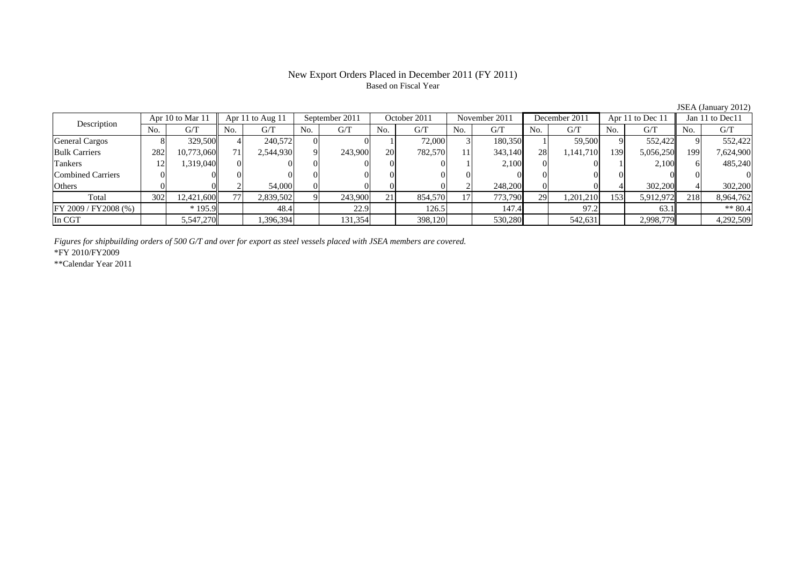# Based on Fiscal Year

No. G/T No. G/T No. G/T No. G/T No. G/T No. G/T No. G/T No. G/T $G/T$ General Cargos ( 8 329,500 4 240,572 0 0 1 72,000 3 180,350 1 59,500 9 552,422 9 552,422 Bulk Carriers 1 282 10,773,060 71 2,544,930 9 243,900 20 782,570 11 343,140 28 1,141,710 139 5,056,250 199 7,624,900 Tankers 12 1,319,040 0 0 0 0 0 0 1 2,100 0 0 1 2,100 6 485,240 Combined Carriers 0 0 0 0 0 0 0 0 0 0 0 0 0 0 0 0Others 0 0 2 54,000 0 0 0 0 2 248,200 0 0 4 302,200 4 302,200 Total 302 12,421,600 77 2,839,502 9 243,900 21 854,570 17 773,790 29 1,201,210 153 5,912,972 218 8,964,762 FY 2009 / FY 2008 (%) \* 195.9 148.4 22.9 126.5 147.4 97.2 63.1 13.1 In CGT | | 5,547,270| | 1,396,394| | 131,354| | 398,120| | 530,280| | 542,631| | 2,998,779|| | 4,292,509 September 2011 October 2011 Description Apr 10 to Mar 11 Apr 11 to Aug 11 November 2011 December 2011 Apr 11 to Dec 11 Jan 11 to Dec11

*Figures for shipbuilding orders of 500 G/T and over for export as steel vessels placed with JSEA members are covered.*

\*FY 2010/FY2009

\*\*Calendar Year 2011

JSEA (January 2012)

# New Export Orders Placed in December 2011 (FY 2011)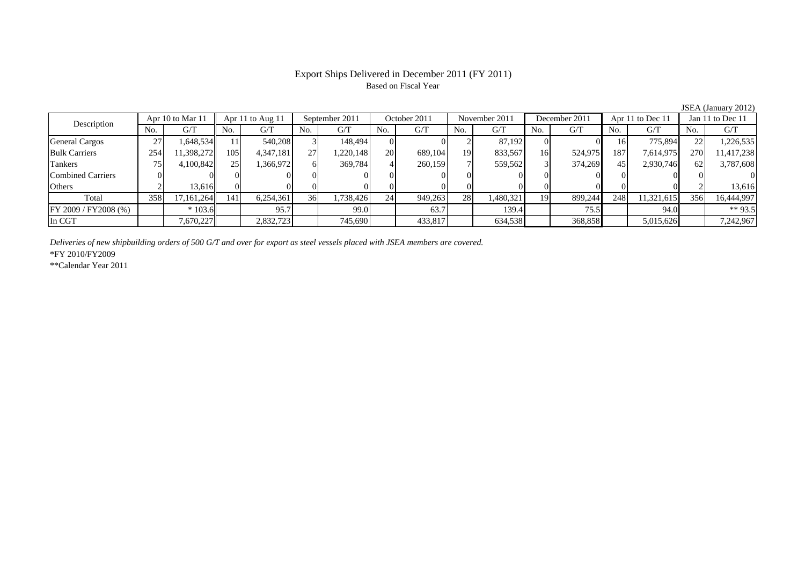#### Export Ships Delivered in December 2011 (FY 2011) Based on Fiscal Year

|                          |     |                  |     |                  |                 |                |           |              |                 |               |     |               |     |                  |            | $5.5211$ $1.0411441$ , $2.012$ |
|--------------------------|-----|------------------|-----|------------------|-----------------|----------------|-----------|--------------|-----------------|---------------|-----|---------------|-----|------------------|------------|--------------------------------|
|                          |     | Apr 10 to Mar 11 |     | Apr 11 to Aug 11 |                 | September 2011 |           | October 2011 |                 | November 2011 |     | December 2011 |     | Apr 11 to Dec 11 |            | Jan 11 to Dec 11               |
| Description              | No. | G/T              | No. | G/T              | No.             | G/T            | No.       | G/T          | No.             | G/T           | No. | G/T           | No. | G/T              | No.        | G/T                            |
| <b>General Cargos</b>    | 27  | 1,648,534        |     | 540,208          |                 | 148.494        |           | $\Omega$     |                 | 87,192        |     |               | 16  | 775,894          | 22         | 1,226,535                      |
| <b>Bulk Carriers</b>     | 254 | 1,398,272        | 105 | 4,347,181        | 27              | 1,220,148      | 20        | 689,104      | 19 <sup>1</sup> | 833,567       | 16  | 524,975       | 187 | 7,614,975        | <b>270</b> | 11,417,238                     |
| Tankers                  | 75  | 4,100,842        | 251 | 1,366,972        |                 | 369,784        |           | 260,159      |                 | 559,562       |     | 374,269       | 45  | 2,930,746        | 62         | 3,787,608                      |
| <b>Combined Carriers</b> |     |                  |     |                  |                 |                |           |              |                 |               |     |               |     |                  |            |                                |
| Others                   |     | 13.616           |     |                  |                 |                |           |              |                 |               |     |               |     |                  |            | 13,616                         |
| Total                    | 358 | 17,161,264       | 141 | 6,254,361        | 36 <sub>1</sub> | 1,738,426      | <b>24</b> | 949,263      | 28              | 1,480,321     | 19  | 899,244       | 248 | 11,321,615       | 356        | 16,444,997                     |
| FY 2009 / FY 2008 (%)    |     | $*103.6$         |     | 95.7             |                 | 99.0           |           | 63.7         |                 | 139.4         |     | 75.5          |     | 94.0             |            | ** 93.5                        |
| In CGT                   |     | 7,670,227        |     | 2,832,723        |                 | 745,690        |           | 433,817      |                 | 634,538       |     | 368,858       |     | 5,015,626        |            | 7,242,967                      |

*Deliveries of new shipbuilding orders of 500 G/T and over for export as steel vessels placed with JSEA members are covered.*

\*FY 2010/FY2009

\*\*Calendar Year 2011

JSEA (January 2012)